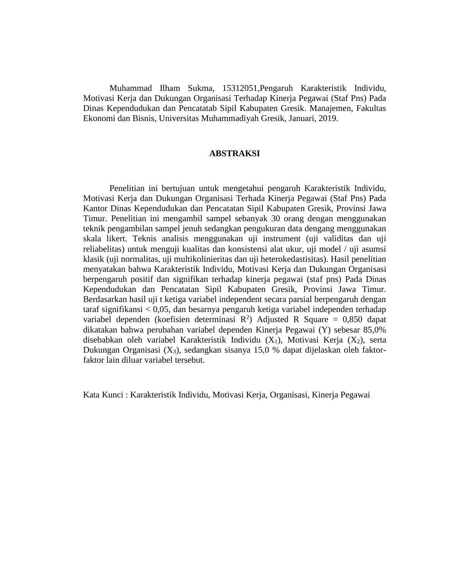Muhammad Ilham Sukma, 15312051,Pengaruh Karakteristik Individu, Motivasi Kerja dan Dukungan Organisasi Terhadap Kinerja Pegawai (Staf Pns) Pada Dinas Kependudukan dan Pencatatab Sipil Kabupaten Gresik. Manajemen, Fakultas Ekonomi dan Bisnis, Universitas Muhammadiyah Gresik, Januari, 2019.

## **ABSTRAKSI**

Penelitian ini bertujuan untuk mengetahui pengaruh Karakteristik Individu, Motivasi Kerja dan Dukungan Organisasi Terhada Kinerja Pegawai (Staf Pns) Pada Kantor Dinas Kependudukan dan Pencatatan Sipil Kabupaten Gresik, Provinsi Jawa Timur. Penelitian ini mengambil sampel sebanyak 30 orang dengan menggunakan teknik pengambilan sampel jenuh sedangkan pengukuran data dengang menggunakan skala likert. Teknis analisis menggunakan uji instrument (uji validitas dan uji reliabelitas) untuk menguji kualitas dan konsistensi alat ukur, uji model / uji asumsi klasik (uji normalitas, uji multikolinieritas dan uji heterokedastisitas). Hasil penelitian menyatakan bahwa Karakteristik Individu, Motivasi Kerja dan Dukungan Organisasi berpengaruh positif dan signifikan terhadap kinerja pegawai (staf pns) Pada Dinas Kependudukan dan Pencatatan Sipil Kabupaten Gresik, Provinsi Jawa Timur. Berdasarkan hasil uji t ketiga variabel independent secara parsial berpengaruh dengan taraf signifikansi < 0,05, dan besarnya pengaruh ketiga variabel independen terhadap variabel dependen (koefisien determinasi  $R^2$ ) Adjusted R Square = 0,850 dapat dikatakan bahwa perubahan variabel dependen Kinerja Pegawai (Y) sebesar 85,0% disebabkan oleh variabel Karakteristik Individu  $(X_1)$ , Motivasi Kerja  $(X_2)$ , serta Dukungan Organisasi (X3), sedangkan sisanya 15,0 % dapat dijelaskan oleh faktorfaktor lain diluar variabel tersebut.

Kata Kunci : Karakteristik Individu, Motivasi Kerja, Organisasi, Kinerja Pegawai